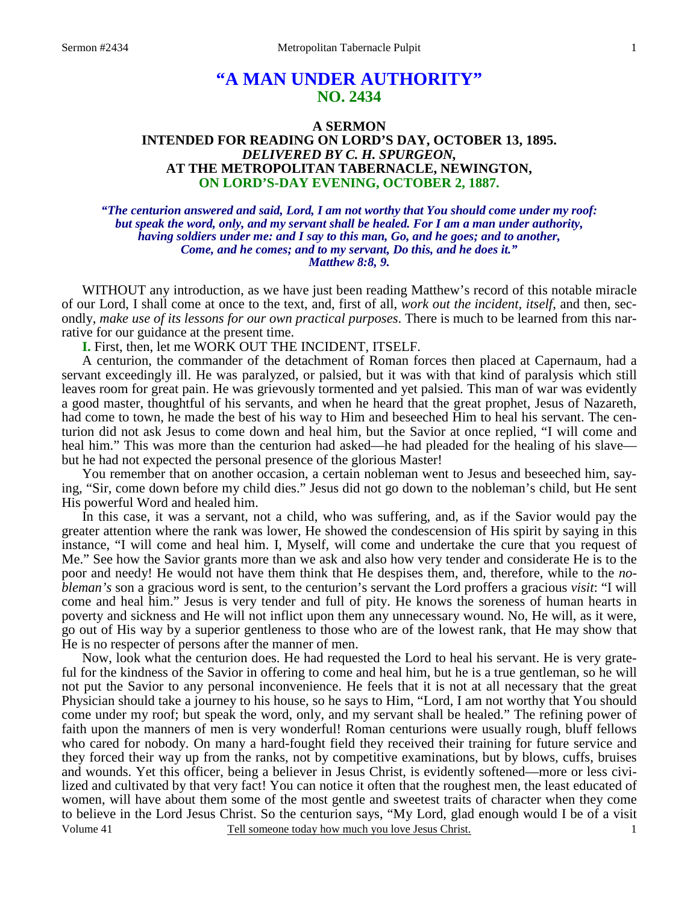# **"A MAN UNDER AUTHORITY" NO. 2434**

## **A SERMON INTENDED FOR READING ON LORD'S DAY, OCTOBER 13, 1895.**  *DELIVERED BY C. H. SPURGEON,*  **AT THE METROPOLITAN TABERNACLE, NEWINGTON, ON LORD'S-DAY EVENING, OCTOBER 2, 1887.**

*"The centurion answered and said, Lord, I am not worthy that You should come under my roof: but speak the word, only, and my servant shall be healed. For I am a man under authority, having soldiers under me: and I say to this man, Go, and he goes; and to another, Come, and he comes; and to my servant, Do this, and he does it." Matthew 8:8, 9.* 

WITHOUT any introduction, as we have just been reading Matthew's record of this notable miracle of our Lord, I shall come at once to the text, and, first of all, *work out the incident, itself*, and then, secondly, *make use of its lessons for our own practical purposes*. There is much to be learned from this narrative for our guidance at the present time.

**I.** First, then, let me WORK OUT THE INCIDENT, ITSELF.

A centurion, the commander of the detachment of Roman forces then placed at Capernaum, had a servant exceedingly ill. He was paralyzed, or palsied, but it was with that kind of paralysis which still leaves room for great pain. He was grievously tormented and yet palsied. This man of war was evidently a good master, thoughtful of his servants, and when he heard that the great prophet, Jesus of Nazareth, had come to town, he made the best of his way to Him and beseeched Him to heal his servant. The centurion did not ask Jesus to come down and heal him, but the Savior at once replied, "I will come and heal him." This was more than the centurion had asked—he had pleaded for the healing of his slave but he had not expected the personal presence of the glorious Master!

You remember that on another occasion, a certain nobleman went to Jesus and beseeched him, saying, "Sir, come down before my child dies." Jesus did not go down to the nobleman's child, but He sent His powerful Word and healed him.

In this case, it was a servant, not a child, who was suffering, and, as if the Savior would pay the greater attention where the rank was lower, He showed the condescension of His spirit by saying in this instance, "I will come and heal him. I, Myself, will come and undertake the cure that you request of Me." See how the Savior grants more than we ask and also how very tender and considerate He is to the poor and needy! He would not have them think that He despises them, and, therefore, while to the *nobleman's* son a gracious word is sent, to the centurion's servant the Lord proffers a gracious *visit*: "I will come and heal him." Jesus is very tender and full of pity. He knows the soreness of human hearts in poverty and sickness and He will not inflict upon them any unnecessary wound. No, He will, as it were, go out of His way by a superior gentleness to those who are of the lowest rank, that He may show that He is no respecter of persons after the manner of men.

Volume 41 Tell someone today how much you love Jesus Christ. Now, look what the centurion does. He had requested the Lord to heal his servant. He is very grateful for the kindness of the Savior in offering to come and heal him, but he is a true gentleman, so he will not put the Savior to any personal inconvenience. He feels that it is not at all necessary that the great Physician should take a journey to his house, so he says to Him, "Lord, I am not worthy that You should come under my roof; but speak the word, only, and my servant shall be healed." The refining power of faith upon the manners of men is very wonderful! Roman centurions were usually rough, bluff fellows who cared for nobody. On many a hard-fought field they received their training for future service and they forced their way up from the ranks, not by competitive examinations, but by blows, cuffs, bruises and wounds. Yet this officer, being a believer in Jesus Christ, is evidently softened—more or less civilized and cultivated by that very fact! You can notice it often that the roughest men, the least educated of women, will have about them some of the most gentle and sweetest traits of character when they come to believe in the Lord Jesus Christ. So the centurion says, "My Lord, glad enough would I be of a visit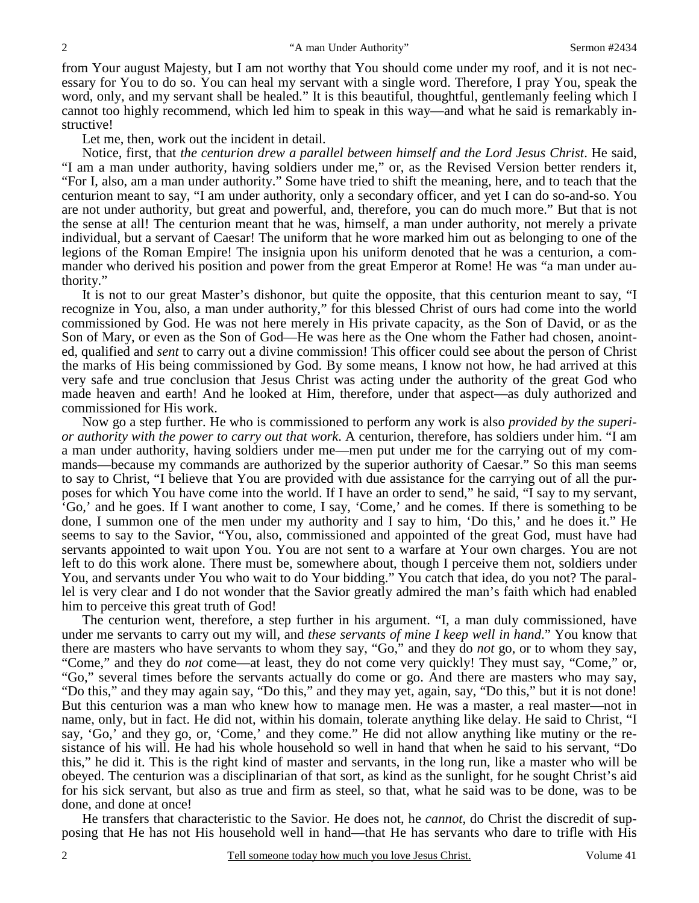from Your august Majesty, but I am not worthy that You should come under my roof, and it is not necessary for You to do so. You can heal my servant with a single word. Therefore, I pray You, speak the word, only, and my servant shall be healed." It is this beautiful, thoughtful, gentlemanly feeling which I cannot too highly recommend, which led him to speak in this way—and what he said is remarkably instructive!

Let me, then, work out the incident in detail.

Notice, first, that *the centurion drew a parallel between himself and the Lord Jesus Christ*. He said, "I am a man under authority, having soldiers under me," or, as the Revised Version better renders it, "For I, also, am a man under authority." Some have tried to shift the meaning, here, and to teach that the centurion meant to say, "I am under authority, only a secondary officer, and yet I can do so-and-so. You are not under authority, but great and powerful, and, therefore, you can do much more." But that is not the sense at all! The centurion meant that he was, himself, a man under authority, not merely a private individual, but a servant of Caesar! The uniform that he wore marked him out as belonging to one of the legions of the Roman Empire! The insignia upon his uniform denoted that he was a centurion, a commander who derived his position and power from the great Emperor at Rome! He was "a man under authority."

It is not to our great Master's dishonor, but quite the opposite, that this centurion meant to say, "I recognize in You, also, a man under authority," for this blessed Christ of ours had come into the world commissioned by God. He was not here merely in His private capacity, as the Son of David, or as the Son of Mary, or even as the Son of God—He was here as the One whom the Father had chosen, anointed, qualified and *sent* to carry out a divine commission! This officer could see about the person of Christ the marks of His being commissioned by God. By some means, I know not how, he had arrived at this very safe and true conclusion that Jesus Christ was acting under the authority of the great God who made heaven and earth! And he looked at Him, therefore, under that aspect—as duly authorized and commissioned for His work.

Now go a step further. He who is commissioned to perform any work is also *provided by the superior authority with the power to carry out that work*. A centurion, therefore, has soldiers under him. "I am a man under authority, having soldiers under me—men put under me for the carrying out of my commands—because my commands are authorized by the superior authority of Caesar." So this man seems to say to Christ, "I believe that You are provided with due assistance for the carrying out of all the purposes for which You have come into the world. If I have an order to send," he said, "I say to my servant, 'Go,' and he goes. If I want another to come, I say, 'Come,' and he comes. If there is something to be done, I summon one of the men under my authority and I say to him, 'Do this,' and he does it." He seems to say to the Savior, "You, also, commissioned and appointed of the great God, must have had servants appointed to wait upon You. You are not sent to a warfare at Your own charges. You are not left to do this work alone. There must be, somewhere about, though I perceive them not, soldiers under You, and servants under You who wait to do Your bidding." You catch that idea, do you not? The parallel is very clear and I do not wonder that the Savior greatly admired the man's faith which had enabled him to perceive this great truth of God!

The centurion went, therefore, a step further in his argument. "I, a man duly commissioned, have under me servants to carry out my will, and *these servants of mine I keep well in hand*." You know that there are masters who have servants to whom they say, "Go," and they do *not* go, or to whom they say, "Come," and they do *not* come—at least, they do not come very quickly! They must say, "Come," or, "Go," several times before the servants actually do come or go. And there are masters who may say, "Do this," and they may again say, "Do this," and they may yet, again, say, "Do this," but it is not done! But this centurion was a man who knew how to manage men. He was a master, a real master—not in name, only, but in fact. He did not, within his domain, tolerate anything like delay. He said to Christ, "I say, 'Go,' and they go, or, 'Come,' and they come." He did not allow anything like mutiny or the resistance of his will. He had his whole household so well in hand that when he said to his servant, "Do this," he did it. This is the right kind of master and servants, in the long run, like a master who will be obeyed. The centurion was a disciplinarian of that sort, as kind as the sunlight, for he sought Christ's aid for his sick servant, but also as true and firm as steel, so that, what he said was to be done, was to be done, and done at once!

He transfers that characteristic to the Savior. He does not, he *cannot*, do Christ the discredit of supposing that He has not His household well in hand—that He has servants who dare to trifle with His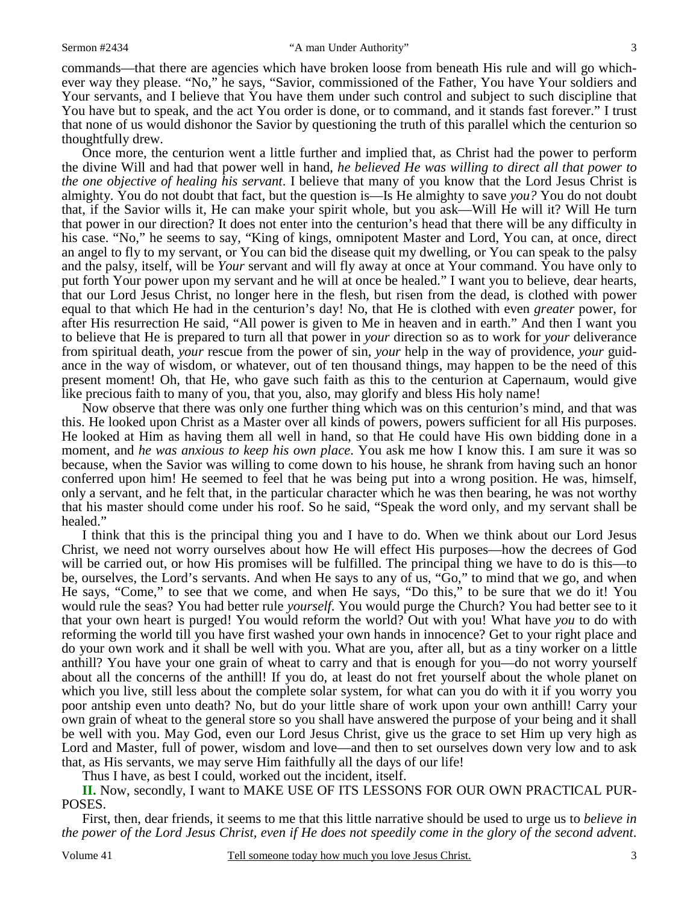commands—that there are agencies which have broken loose from beneath His rule and will go whichever way they please. "No," he says, "Savior, commissioned of the Father, You have Your soldiers and Your servants, and I believe that You have them under such control and subject to such discipline that You have but to speak, and the act You order is done, or to command, and it stands fast forever." I trust that none of us would dishonor the Savior by questioning the truth of this parallel which the centurion so thoughtfully drew.

Once more, the centurion went a little further and implied that, as Christ had the power to perform the divine Will and had that power well in hand, *he believed He was willing to direct all that power to the one objective of healing his servant*. I believe that many of you know that the Lord Jesus Christ is almighty. You do not doubt that fact, but the question is—Is He almighty to save *you?* You do not doubt that, if the Savior wills it, He can make your spirit whole, but you ask—Will He will it? Will He turn that power in our direction? It does not enter into the centurion's head that there will be any difficulty in his case. "No," he seems to say, "King of kings, omnipotent Master and Lord, You can, at once, direct an angel to fly to my servant, or You can bid the disease quit my dwelling, or You can speak to the palsy and the palsy, itself, will be *Your* servant and will fly away at once at Your command. You have only to put forth Your power upon my servant and he will at once be healed." I want you to believe, dear hearts, that our Lord Jesus Christ, no longer here in the flesh, but risen from the dead, is clothed with power equal to that which He had in the centurion's day! No, that He is clothed with even *greater* power, for after His resurrection He said, "All power is given to Me in heaven and in earth." And then I want you to believe that He is prepared to turn all that power in *your* direction so as to work for *your* deliverance from spiritual death, *your* rescue from the power of sin, *your* help in the way of providence, *your* guidance in the way of wisdom, or whatever, out of ten thousand things, may happen to be the need of this present moment! Oh, that He, who gave such faith as this to the centurion at Capernaum, would give like precious faith to many of you, that you, also, may glorify and bless His holy name!

Now observe that there was only one further thing which was on this centurion's mind, and that was this. He looked upon Christ as a Master over all kinds of powers, powers sufficient for all His purposes. He looked at Him as having them all well in hand, so that He could have His own bidding done in a moment, and *he was anxious to keep his own place*. You ask me how I know this. I am sure it was so because, when the Savior was willing to come down to his house, he shrank from having such an honor conferred upon him! He seemed to feel that he was being put into a wrong position. He was, himself, only a servant, and he felt that, in the particular character which he was then bearing, he was not worthy that his master should come under his roof. So he said, "Speak the word only, and my servant shall be healed."

I think that this is the principal thing you and I have to do. When we think about our Lord Jesus Christ, we need not worry ourselves about how He will effect His purposes—how the decrees of God will be carried out, or how His promises will be fulfilled. The principal thing we have to do is this—to be, ourselves, the Lord's servants. And when He says to any of us, "Go," to mind that we go, and when He says, "Come," to see that we come, and when He says, "Do this," to be sure that we do it! You would rule the seas? You had better rule *yourself*. You would purge the Church? You had better see to it that your own heart is purged! You would reform the world? Out with you! What have *you* to do with reforming the world till you have first washed your own hands in innocence? Get to your right place and do your own work and it shall be well with you. What are you, after all, but as a tiny worker on a little anthill? You have your one grain of wheat to carry and that is enough for you—do not worry yourself about all the concerns of the anthill! If you do, at least do not fret yourself about the whole planet on which you live, still less about the complete solar system, for what can you do with it if you worry you poor antship even unto death? No, but do your little share of work upon your own anthill! Carry your own grain of wheat to the general store so you shall have answered the purpose of your being and it shall be well with you. May God, even our Lord Jesus Christ, give us the grace to set Him up very high as Lord and Master, full of power, wisdom and love—and then to set ourselves down very low and to ask that, as His servants, we may serve Him faithfully all the days of our life!

Thus I have, as best I could, worked out the incident, itself.

**II.** Now, secondly, I want to MAKE USE OF ITS LESSONS FOR OUR OWN PRACTICAL PUR-POSES.

First, then, dear friends, it seems to me that this little narrative should be used to urge us to *believe in the power of the Lord Jesus Christ, even if He does not speedily come in the glory of the second advent*.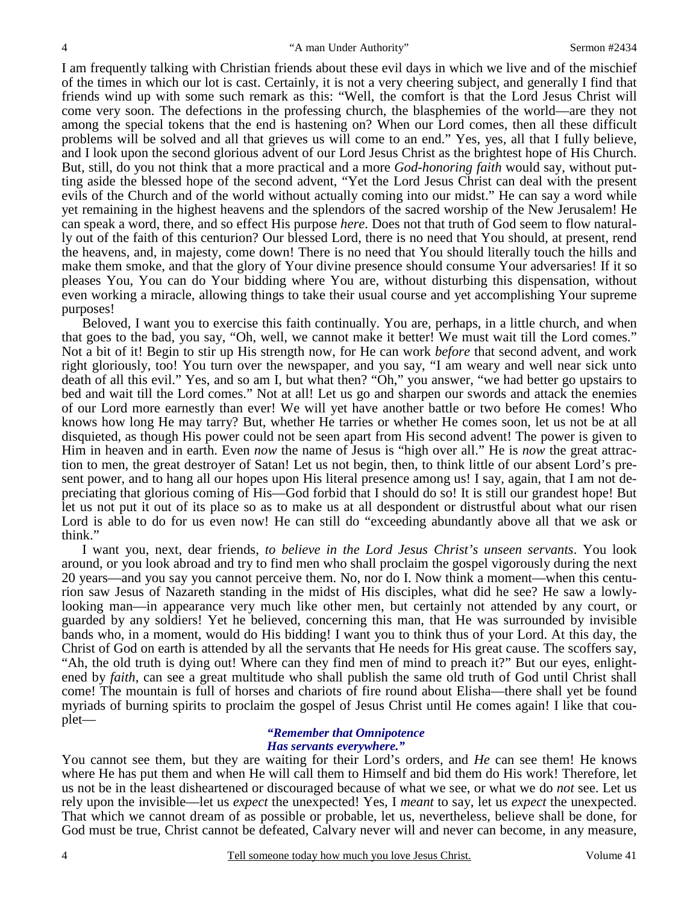I am frequently talking with Christian friends about these evil days in which we live and of the mischief of the times in which our lot is cast. Certainly, it is not a very cheering subject, and generally I find that friends wind up with some such remark as this: "Well, the comfort is that the Lord Jesus Christ will come very soon. The defections in the professing church, the blasphemies of the world—are they not among the special tokens that the end is hastening on? When our Lord comes, then all these difficult problems will be solved and all that grieves us will come to an end." Yes, yes, all that I fully believe, and I look upon the second glorious advent of our Lord Jesus Christ as the brightest hope of His Church. But, still, do you not think that a more practical and a more *God-honoring faith* would say, without putting aside the blessed hope of the second advent, "Yet the Lord Jesus Christ can deal with the present evils of the Church and of the world without actually coming into our midst." He can say a word while yet remaining in the highest heavens and the splendors of the sacred worship of the New Jerusalem! He can speak a word, there, and so effect His purpose *here*. Does not that truth of God seem to flow naturally out of the faith of this centurion? Our blessed Lord, there is no need that You should, at present, rend the heavens, and, in majesty, come down! There is no need that You should literally touch the hills and make them smoke, and that the glory of Your divine presence should consume Your adversaries! If it so pleases You, You can do Your bidding where You are, without disturbing this dispensation, without even working a miracle, allowing things to take their usual course and yet accomplishing Your supreme purposes!

Beloved, I want you to exercise this faith continually. You are, perhaps, in a little church, and when that goes to the bad, you say, "Oh, well, we cannot make it better! We must wait till the Lord comes." Not a bit of it! Begin to stir up His strength now, for He can work *before* that second advent, and work right gloriously, too! You turn over the newspaper, and you say, "I am weary and well near sick unto death of all this evil." Yes, and so am I, but what then? "Oh," you answer, "we had better go upstairs to bed and wait till the Lord comes." Not at all! Let us go and sharpen our swords and attack the enemies of our Lord more earnestly than ever! We will yet have another battle or two before He comes! Who knows how long He may tarry? But, whether He tarries or whether He comes soon, let us not be at all disquieted, as though His power could not be seen apart from His second advent! The power is given to Him in heaven and in earth. Even *now* the name of Jesus is "high over all." He is *now* the great attraction to men, the great destroyer of Satan! Let us not begin, then, to think little of our absent Lord's present power, and to hang all our hopes upon His literal presence among us! I say, again, that I am not depreciating that glorious coming of His—God forbid that I should do so! It is still our grandest hope! But let us not put it out of its place so as to make us at all despondent or distrustful about what our risen Lord is able to do for us even now! He can still do "exceeding abundantly above all that we ask or think."

I want you, next, dear friends, *to believe in the Lord Jesus Christ's unseen servants*. You look around, or you look abroad and try to find men who shall proclaim the gospel vigorously during the next 20 years—and you say you cannot perceive them. No, nor do I. Now think a moment—when this centurion saw Jesus of Nazareth standing in the midst of His disciples, what did he see? He saw a lowlylooking man—in appearance very much like other men, but certainly not attended by any court, or guarded by any soldiers! Yet he believed, concerning this man, that He was surrounded by invisible bands who, in a moment, would do His bidding! I want you to think thus of your Lord. At this day, the Christ of God on earth is attended by all the servants that He needs for His great cause. The scoffers say, "Ah, the old truth is dying out! Where can they find men of mind to preach it?" But our eyes, enlightened by *faith*, can see a great multitude who shall publish the same old truth of God until Christ shall come! The mountain is full of horses and chariots of fire round about Elisha—there shall yet be found myriads of burning spirits to proclaim the gospel of Jesus Christ until He comes again! I like that couplet—

#### *"Remember that Omnipotence Has servants everywhere."*

You cannot see them, but they are waiting for their Lord's orders, and *He* can see them! He knows where He has put them and when He will call them to Himself and bid them do His work! Therefore, let us not be in the least disheartened or discouraged because of what we see, or what we do *not* see. Let us rely upon the invisible—let us *expect* the unexpected! Yes, I *meant* to say, let us *expect* the unexpected. That which we cannot dream of as possible or probable, let us, nevertheless, believe shall be done, for God must be true, Christ cannot be defeated, Calvary never will and never can become, in any measure,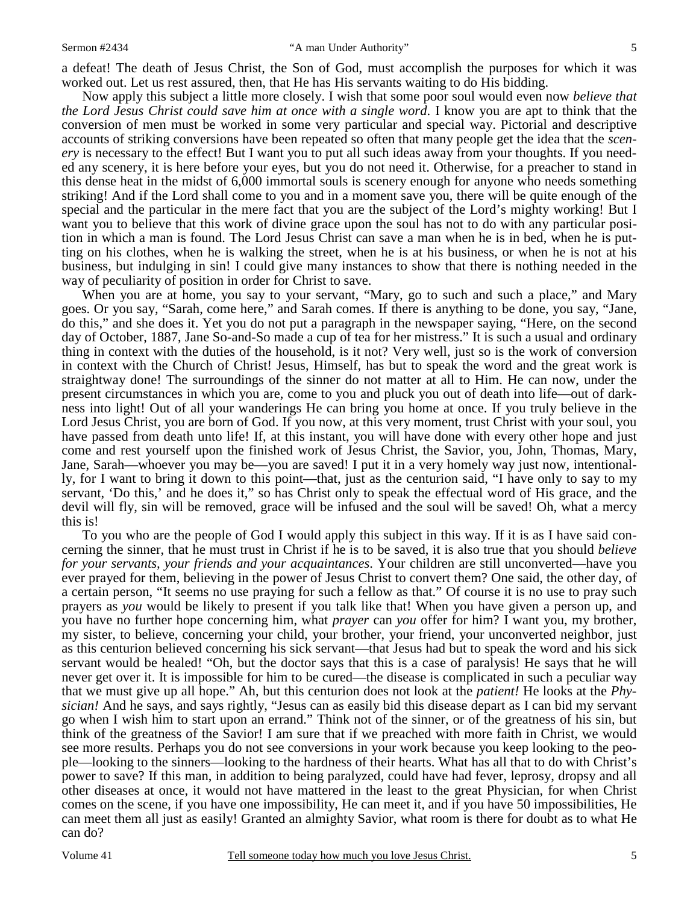a defeat! The death of Jesus Christ, the Son of God, must accomplish the purposes for which it was worked out. Let us rest assured, then, that He has His servants waiting to do His bidding.

Now apply this subject a little more closely. I wish that some poor soul would even now *believe that the Lord Jesus Christ could save him at once with a single word*. I know you are apt to think that the conversion of men must be worked in some very particular and special way. Pictorial and descriptive accounts of striking conversions have been repeated so often that many people get the idea that the *scenery* is necessary to the effect! But I want you to put all such ideas away from your thoughts. If you needed any scenery, it is here before your eyes, but you do not need it. Otherwise, for a preacher to stand in this dense heat in the midst of 6,000 immortal souls is scenery enough for anyone who needs something striking! And if the Lord shall come to you and in a moment save you, there will be quite enough of the special and the particular in the mere fact that you are the subject of the Lord's mighty working! But I want you to believe that this work of divine grace upon the soul has not to do with any particular position in which a man is found. The Lord Jesus Christ can save a man when he is in bed, when he is putting on his clothes, when he is walking the street, when he is at his business, or when he is not at his business, but indulging in sin! I could give many instances to show that there is nothing needed in the way of peculiarity of position in order for Christ to save.

When you are at home, you say to your servant, "Mary, go to such and such a place," and Mary goes. Or you say, "Sarah, come here," and Sarah comes. If there is anything to be done, you say, "Jane, do this," and she does it. Yet you do not put a paragraph in the newspaper saying, "Here, on the second day of October, 1887, Jane So-and-So made a cup of tea for her mistress." It is such a usual and ordinary thing in context with the duties of the household, is it not? Very well, just so is the work of conversion in context with the Church of Christ! Jesus, Himself, has but to speak the word and the great work is straightway done! The surroundings of the sinner do not matter at all to Him. He can now, under the present circumstances in which you are, come to you and pluck you out of death into life—out of darkness into light! Out of all your wanderings He can bring you home at once. If you truly believe in the Lord Jesus Christ, you are born of God. If you now, at this very moment, trust Christ with your soul, you have passed from death unto life! If, at this instant, you will have done with every other hope and just come and rest yourself upon the finished work of Jesus Christ, the Savior, you, John, Thomas, Mary, Jane, Sarah—whoever you may be—you are saved! I put it in a very homely way just now, intentionally, for I want to bring it down to this point—that, just as the centurion said, "I have only to say to my servant, 'Do this,' and he does it," so has Christ only to speak the effectual word of His grace, and the devil will fly, sin will be removed, grace will be infused and the soul will be saved! Oh, what a mercy this is!

To you who are the people of God I would apply this subject in this way. If it is as I have said concerning the sinner, that he must trust in Christ if he is to be saved, it is also true that you should *believe for your servants, your friends and your acquaintances*. Your children are still unconverted—have you ever prayed for them, believing in the power of Jesus Christ to convert them? One said, the other day, of a certain person, "It seems no use praying for such a fellow as that." Of course it is no use to pray such prayers as *you* would be likely to present if you talk like that! When you have given a person up, and you have no further hope concerning him, what *prayer* can *you* offer for him? I want you, my brother, my sister, to believe, concerning your child, your brother, your friend, your unconverted neighbor, just as this centurion believed concerning his sick servant—that Jesus had but to speak the word and his sick servant would be healed! "Oh, but the doctor says that this is a case of paralysis! He says that he will never get over it. It is impossible for him to be cured—the disease is complicated in such a peculiar way that we must give up all hope." Ah, but this centurion does not look at the *patient!* He looks at the *Physician!* And he says, and says rightly, "Jesus can as easily bid this disease depart as I can bid my servant go when I wish him to start upon an errand." Think not of the sinner, or of the greatness of his sin, but think of the greatness of the Savior! I am sure that if we preached with more faith in Christ, we would see more results. Perhaps you do not see conversions in your work because you keep looking to the people—looking to the sinners—looking to the hardness of their hearts. What has all that to do with Christ's power to save? If this man, in addition to being paralyzed, could have had fever, leprosy, dropsy and all other diseases at once, it would not have mattered in the least to the great Physician, for when Christ comes on the scene, if you have one impossibility, He can meet it, and if you have 50 impossibilities, He can meet them all just as easily! Granted an almighty Savior, what room is there for doubt as to what He can do?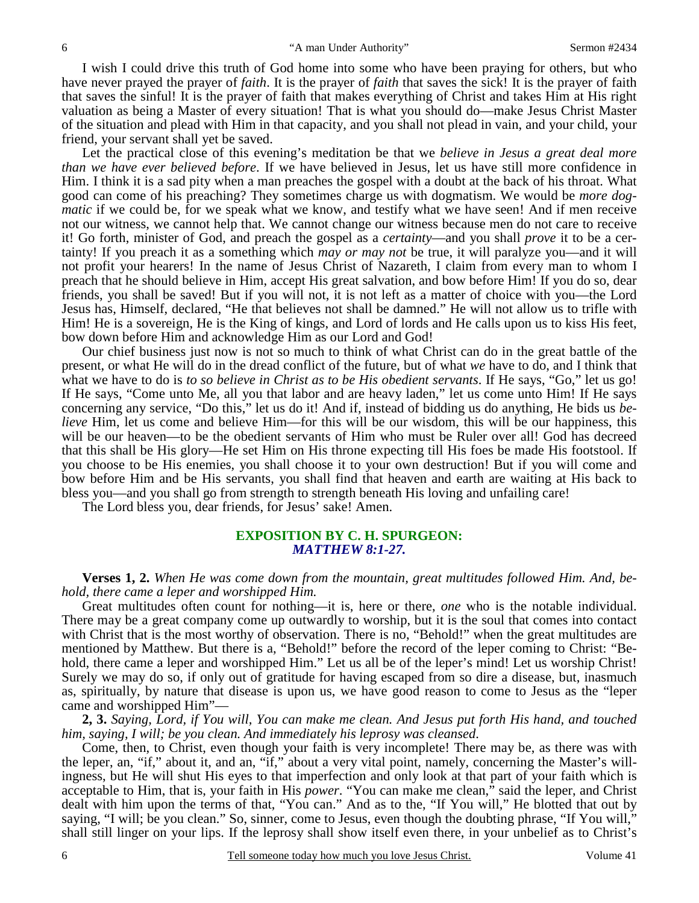I wish I could drive this truth of God home into some who have been praying for others, but who have never prayed the prayer of *faith*. It is the prayer of *faith* that saves the sick! It is the prayer of faith that saves the sinful! It is the prayer of faith that makes everything of Christ and takes Him at His right valuation as being a Master of every situation! That is what you should do—make Jesus Christ Master of the situation and plead with Him in that capacity, and you shall not plead in vain, and your child, your friend, your servant shall yet be saved.

Let the practical close of this evening's meditation be that we *believe in Jesus a great deal more than we have ever believed before*. If we have believed in Jesus, let us have still more confidence in Him. I think it is a sad pity when a man preaches the gospel with a doubt at the back of his throat. What good can come of his preaching? They sometimes charge us with dogmatism. We would be *more dogmatic* if we could be, for we speak what we know, and testify what we have seen! And if men receive not our witness, we cannot help that. We cannot change our witness because men do not care to receive it! Go forth, minister of God, and preach the gospel as a *certainty*—and you shall *prove* it to be a certainty! If you preach it as a something which *may or may not* be true, it will paralyze you—and it will not profit your hearers! In the name of Jesus Christ of Nazareth, I claim from every man to whom I preach that he should believe in Him, accept His great salvation, and bow before Him! If you do so, dear friends, you shall be saved! But if you will not, it is not left as a matter of choice with you—the Lord Jesus has, Himself, declared, "He that believes not shall be damned." He will not allow us to trifle with Him! He is a sovereign, He is the King of kings, and Lord of lords and He calls upon us to kiss His feet, bow down before Him and acknowledge Him as our Lord and God!

Our chief business just now is not so much to think of what Christ can do in the great battle of the present, or what He will do in the dread conflict of the future, but of what *we* have to do, and I think that what we have to do is *to so believe in Christ as to be His obedient servants*. If He says, "Go," let us go! If He says, "Come unto Me, all you that labor and are heavy laden," let us come unto Him! If He says concerning any service, "Do this," let us do it! And if, instead of bidding us do anything, He bids us *believe* Him, let us come and believe Him—for this will be our wisdom, this will be our happiness, this will be our heaven—to be the obedient servants of Him who must be Ruler over all! God has decreed that this shall be His glory—He set Him on His throne expecting till His foes be made His footstool. If you choose to be His enemies, you shall choose it to your own destruction! But if you will come and bow before Him and be His servants, you shall find that heaven and earth are waiting at His back to bless you—and you shall go from strength to strength beneath His loving and unfailing care!

The Lord bless you, dear friends, for Jesus' sake! Amen.

### **EXPOSITION BY C. H. SPURGEON:** *MATTHEW 8:1-27.*

**Verses 1, 2.** *When He was come down from the mountain, great multitudes followed Him. And, behold, there came a leper and worshipped Him.* 

Great multitudes often count for nothing—it is, here or there, *one* who is the notable individual. There may be a great company come up outwardly to worship, but it is the soul that comes into contact with Christ that is the most worthy of observation. There is no, "Behold!" when the great multitudes are mentioned by Matthew. But there is a, "Behold!" before the record of the leper coming to Christ: "Behold, there came a leper and worshipped Him." Let us all be of the leper's mind! Let us worship Christ! Surely we may do so, if only out of gratitude for having escaped from so dire a disease, but, inasmuch as, spiritually, by nature that disease is upon us, we have good reason to come to Jesus as the "leper came and worshipped Him"—

**2, 3.** *Saying, Lord, if You will, You can make me clean. And Jesus put forth His hand, and touched him, saying, I will; be you clean. And immediately his leprosy was cleansed.* 

Come, then, to Christ, even though your faith is very incomplete! There may be, as there was with the leper, an, "if," about it, and an, "if," about a very vital point, namely, concerning the Master's willingness, but He will shut His eyes to that imperfection and only look at that part of your faith which is acceptable to Him, that is, your faith in His *power*. "You can make me clean," said the leper, and Christ dealt with him upon the terms of that, "You can." And as to the, "If You will," He blotted that out by saying, "I will; be you clean." So, sinner, come to Jesus, even though the doubting phrase, "If You will," shall still linger on your lips. If the leprosy shall show itself even there, in your unbelief as to Christ's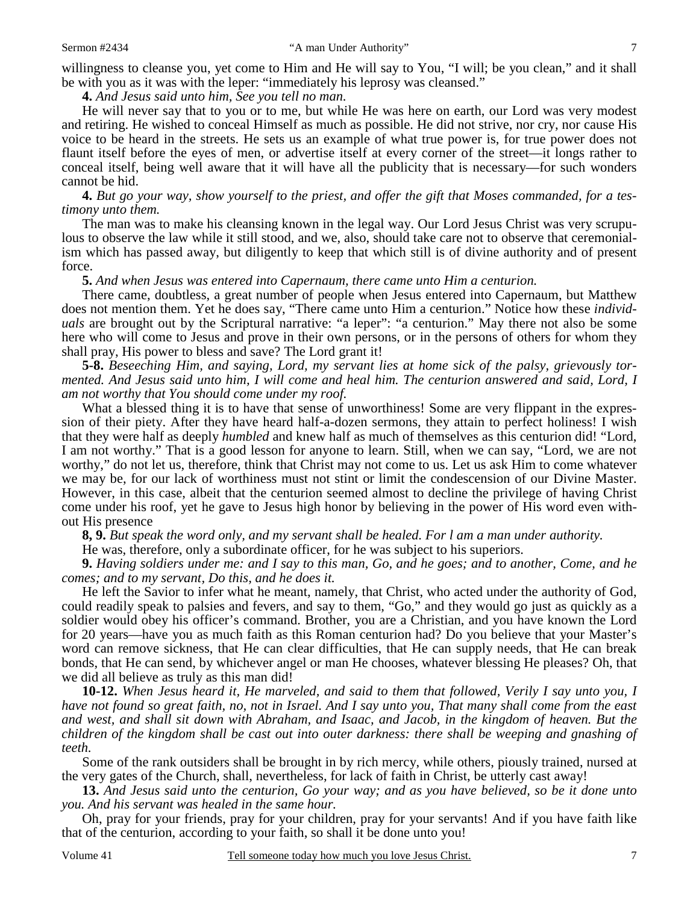willingness to cleanse you, yet come to Him and He will say to You, "I will; be you clean," and it shall be with you as it was with the leper: "immediately his leprosy was cleansed."

**4.** *And Jesus said unto him, See you tell no man.* 

He will never say that to you or to me, but while He was here on earth, our Lord was very modest and retiring. He wished to conceal Himself as much as possible. He did not strive, nor cry, nor cause His voice to be heard in the streets. He sets us an example of what true power is, for true power does not flaunt itself before the eyes of men, or advertise itself at every corner of the street—it longs rather to conceal itself, being well aware that it will have all the publicity that is necessary—for such wonders cannot be hid.

**4.** *But go your way, show yourself to the priest, and offer the gift that Moses commanded, for a testimony unto them.* 

The man was to make his cleansing known in the legal way. Our Lord Jesus Christ was very scrupulous to observe the law while it still stood, and we, also, should take care not to observe that ceremonialism which has passed away, but diligently to keep that which still is of divine authority and of present force.

**5.** *And when Jesus was entered into Capernaum, there came unto Him a centurion.* 

There came, doubtless, a great number of people when Jesus entered into Capernaum, but Matthew does not mention them. Yet he does say, "There came unto Him a centurion." Notice how these *individuals* are brought out by the Scriptural narrative: "a leper": "a centurion." May there not also be some here who will come to Jesus and prove in their own persons, or in the persons of others for whom they shall pray, His power to bless and save? The Lord grant it!

**5-8.** *Beseeching Him, and saying, Lord, my servant lies at home sick of the palsy, grievously tormented. And Jesus said unto him, I will come and heal him. The centurion answered and said, Lord, I am not worthy that You should come under my roof.* 

What a blessed thing it is to have that sense of unworthiness! Some are very flippant in the expression of their piety. After they have heard half-a-dozen sermons, they attain to perfect holiness! I wish that they were half as deeply *humbled* and knew half as much of themselves as this centurion did! "Lord, I am not worthy." That is a good lesson for anyone to learn. Still, when we can say, "Lord, we are not worthy," do not let us, therefore, think that Christ may not come to us. Let us ask Him to come whatever we may be, for our lack of worthiness must not stint or limit the condescension of our Divine Master. However, in this case, albeit that the centurion seemed almost to decline the privilege of having Christ come under his roof, yet he gave to Jesus high honor by believing in the power of His word even without His presence

**8, 9.** *But speak the word only, and my servant shall be healed. For l am a man under authority.* 

He was, therefore, only a subordinate officer, for he was subject to his superiors.

**9.** *Having soldiers under me: and I say to this man, Go, and he goes; and to another, Come, and he comes; and to my servant, Do this, and he does it.* 

He left the Savior to infer what he meant, namely, that Christ, who acted under the authority of God, could readily speak to palsies and fevers, and say to them, "Go," and they would go just as quickly as a soldier would obey his officer's command. Brother, you are a Christian, and you have known the Lord for 20 years—have you as much faith as this Roman centurion had? Do you believe that your Master's word can remove sickness, that He can clear difficulties, that He can supply needs, that He can break bonds, that He can send, by whichever angel or man He chooses, whatever blessing He pleases? Oh, that we did all believe as truly as this man did!

**10-12.** *When Jesus heard it, He marveled, and said to them that followed, Verily I say unto you, I have not found so great faith, no, not in Israel. And I say unto you, That many shall come from the east and west, and shall sit down with Abraham, and Isaac, and Jacob, in the kingdom of heaven. But the children of the kingdom shall be cast out into outer darkness: there shall be weeping and gnashing of teeth.* 

Some of the rank outsiders shall be brought in by rich mercy, while others, piously trained, nursed at the very gates of the Church, shall, nevertheless, for lack of faith in Christ, be utterly cast away!

**13.** *And Jesus said unto the centurion, Go your way; and as you have believed, so be it done unto you. And his servant was healed in the same hour.* 

Oh, pray for your friends, pray for your children, pray for your servants! And if you have faith like that of the centurion, according to your faith, so shall it be done unto you!